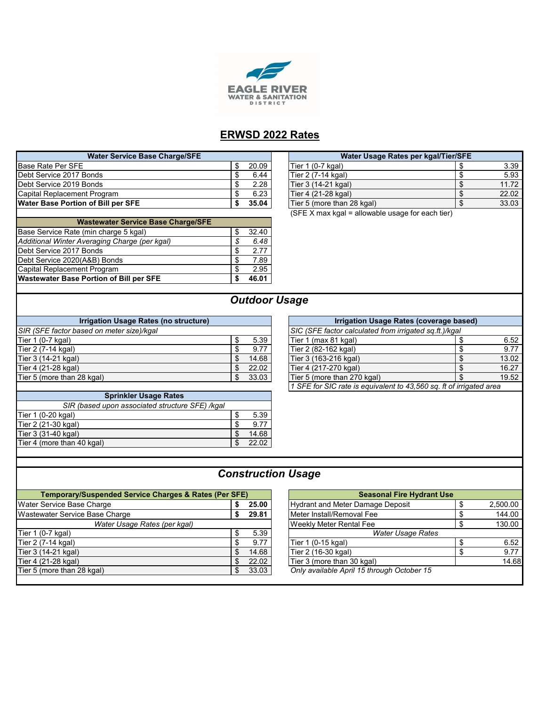

## **ERWSD 2022 Rates**

| <b>Water Service Base Charge/SFE</b>           |                      | Water Usage Rates per kgal/Tier/SFE              |            |
|------------------------------------------------|----------------------|--------------------------------------------------|------------|
| Base Rate Per SFE                              | 20.09<br>S           | Tier 1 (0-7 kgal)                                | 3.39       |
| Debt Service 2017 Bonds                        | 6.44<br>Œ            | Tier 2 (7-14 kgal)                               | \$<br>5.93 |
| Debt Service 2019 Bonds                        | 2.28<br>\$           | Tier 3 (14-21 kgal)                              | 11.72      |
| Capital Replacement Program                    | 6.23                 | Tier 4 (21-28 kgal)                              | 22.02      |
| <b>Water Base Portion of Bill per SFE</b>      | 35.04<br>ъ           | Tier 5 (more than 28 kgal)                       | 33.03<br>S |
|                                                |                      | (SFE X max kgal = allowable usage for each tier) |            |
| <b>Wastewater Service Base Charge/SFE</b>      |                      |                                                  |            |
| Base Service Rate (min charge 5 kgal)          | 32.40<br>S           |                                                  |            |
| Additional Winter Averaging Charge (per kgal)  | 6.48                 |                                                  |            |
| Debt Service 2017 Bonds                        | 2.77                 |                                                  |            |
| Debt Service 2020(A&B) Bonds                   | 7.89<br>ъ            |                                                  |            |
| Capital Replacement Program                    | 2.95                 |                                                  |            |
| <b>Wastewater Base Portion of Bill per SFE</b> | 46.01                |                                                  |            |
|                                                |                      |                                                  |            |
|                                                | <b>Outdoor Usage</b> |                                                  |            |
|                                                |                      |                                                  |            |

| Water Usage Rates per kgal/Tier/SFE               |  |       |  |  |  |  |
|---------------------------------------------------|--|-------|--|--|--|--|
| Tier $1(0-7$ kgal)                                |  | 3.39  |  |  |  |  |
| Tier 2 (7-14 kgal)                                |  | 5.93  |  |  |  |  |
| Tier 3 (14-21 kgal)                               |  | 11.72 |  |  |  |  |
| Tier 4 (21-28 kgal)                               |  | 22.02 |  |  |  |  |
| Tier 5 (more than 28 kgal)                        |  | 33.03 |  |  |  |  |
| $(SFEY$ may kaal = allowable usage for each tier) |  |       |  |  |  |  |

# **Usage**

| Irrigation Usage Rates (no structure)     |  | Irrigation Usage Rates (coverage based) |                                                        |       |
|-------------------------------------------|--|-----------------------------------------|--------------------------------------------------------|-------|
| SIR (SFE factor based on meter size)/kgal |  |                                         | SIC (SFE factor calculated from irrigated sq.ft.)/kgal |       |
| Tier 1 (0-7 kgal)                         |  | 5.39                                    | Tier 1 (max 81 kgal)                                   | 6.52  |
| Tier 2 (7-14 kgal)                        |  | 9.77                                    | Tier 2 (82-162 kgal)                                   | 9.77  |
| Tier 3 (14-21 kgal)                       |  | 14.68                                   | Tier 3 (163-216 kgal)                                  | 13.02 |
| Tier 4 (21-28 kgal)                       |  | 22.02                                   | Tier 4 (217-270 kgal)                                  | 16.27 |
| Tier 5 (more than 28 kgal)                |  | 33.03                                   | Tier 5 (more than 270 kgal)                            | 19.52 |

| <b>Sprinkler Usage Rates</b>                    |       |
|-------------------------------------------------|-------|
| SIR (based upon associated structure SFE) /kgal |       |
| Tier 1 (0-20 kgal)                              | 5.39  |
| Tier 2 (21-30 kgal)                             | 9.77  |
| Tier 3 (31-40 kgal)                             | 14.68 |
| Tier 4 (more than 40 kgal)                      | 22.02 |

| Irrigation Usage Rates (coverage based)                             |    |       |  |  |  |  |
|---------------------------------------------------------------------|----|-------|--|--|--|--|
| SIC (SFE factor calculated from irrigated sq.ft.)/kgal              |    |       |  |  |  |  |
| Tier 1 (max 81 kgal)                                                |    | 6.52  |  |  |  |  |
| Tier 2 (82-162 kgal)                                                | \$ | 9.77  |  |  |  |  |
| Tier 3 (163-216 kgal)                                               |    | 13.02 |  |  |  |  |
| Tier 4 (217-270 kgal)                                               |    | 16.27 |  |  |  |  |
| Tier 5 (more than 270 kgal)                                         |    | 19.52 |  |  |  |  |
| 1 SFE for SIC rate is equivalent to 43,560 sq. ft of irrigated area |    |       |  |  |  |  |

# *Construction Usage*

| <b>Temporary/Suspended Service Charges &amp; Rates (Per SFE)</b> |       | <b>Seasonal Fire Hydrant Use</b> |                                            |          |
|------------------------------------------------------------------|-------|----------------------------------|--------------------------------------------|----------|
| Water Service Base Charge                                        | 25.00 |                                  | <b>Hydrant and Meter Damage Deposit</b>    | 2,500.00 |
| Wastewater Service Base Charge                                   |       | 29.81                            | Meter Install/Removal Fee                  | 144.00   |
| Water Usage Rates (per kgal)                                     |       |                                  | <b>Weekly Meter Rental Fee</b>             | 130.00   |
| Tier 1 (0-7 kgal)                                                |       | 5.39                             | Water Usage Rates                          |          |
| Tier 2 (7-14 kgal)                                               |       | 9.77                             | Tier 1 (0-15 kgal)                         | 6.52     |
| Tier 3 (14-21 kgal)                                              |       | 14.68                            | Tier 2 (16-30 kgal)                        | 9.77     |
| Tier 4 (21-28 kgal)                                              |       | 22.02                            | Tier 3 (more than 30 kgal)                 | 14.68    |
| Tier 5 (more than 28 kgal)                                       |       | 33.03                            | Only available April 15 through October 15 |          |
|                                                                  |       |                                  |                                            |          |

| <b>Seasonal Fire Hydrant Use</b>           |    |          |  |  |  |  |
|--------------------------------------------|----|----------|--|--|--|--|
| <b>Hydrant and Meter Damage Deposit</b>    |    | 2,500.00 |  |  |  |  |
| Meter Install/Removal Fee                  | ß. | 144.00   |  |  |  |  |
| Weekly Meter Rental Fee                    |    | 130.00   |  |  |  |  |
| <b>Water Usage Rates</b>                   |    |          |  |  |  |  |
| Tier 1 (0-15 kgal)                         |    | 6.52     |  |  |  |  |
| Tier 2 (16-30 kgal)                        |    | 9.77     |  |  |  |  |
| Tier 3 (more than 30 kgal)                 |    | 14.68    |  |  |  |  |
| Only available April 15 through October 15 |    |          |  |  |  |  |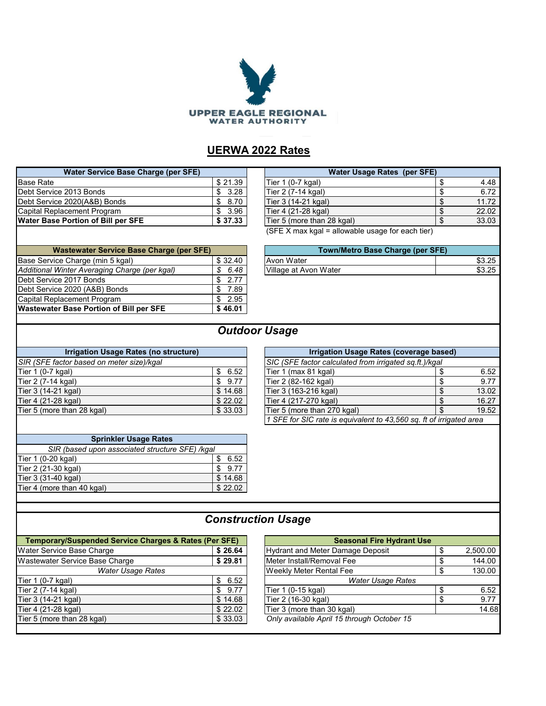

## **UERWA 2022 Rates**

| Water Service Base Charge (per SFE)       |         | Water Usage Rates (per SFE)                      |
|-------------------------------------------|---------|--------------------------------------------------|
| <b>Base Rate</b>                          | \$21.39 | Tier 1 (0-7 kgal)                                |
| Debt Service 2013 Bonds                   | \$3.28  | Tier 2 (7-14 kgal)                               |
| Debt Service 2020(A&B) Bonds              | \$8.70  | Tier 3 (14-21 kgal)                              |
| Capital Replacement Program               | \$3.96  | Tier 4 (21-28 kgal)                              |
| <b>Water Base Portion of Bill per SFE</b> | \$37.33 | Tier 5 (more than 28 kgal)                       |
|                                           |         | (SFE X max kgal = allowable usage for each tier) |
|                                           |         |                                                  |

| <b>Water Service Base Charge (per SFE)</b>    |      | <b>Water Usage Rates (per SFE)</b>               |       |
|-----------------------------------------------|------|--------------------------------------------------|-------|
| \$21.39<br>Base Rate                          |      | Tier 1 (0-7 kgal)                                | 4.48  |
| \$3.28<br>Debt Service 2013 Bonds             |      | Tier 2 (7-14 kgal)                               | 6.72  |
| \$8.70<br>Debt Service 2020(A&B) Bonds        |      | Tier 3 (14-21 kgal)                              | 11.72 |
| Capital Replacement Program                   | 3.96 | Tier 4 (21-28 kgal)                              | 22.02 |
| \$37.33<br>Water Base Portion of Bill per SFE |      | Tier 5 (more than 28 kgal)                       | 33.03 |
|                                               |      | (SFE X max kgal = allowable usage for each tier) |       |

Base Service Charge (min 5 kgal) 32.40 *Additional Winter Averaging Charge (per kgal)* <br> **6.48 Village at Avon Water <b>1988 1999 1999 1999 1999 1999 1999 1999 1999 1999 1999 1999 1999 1999 1999 1999 1999 1999 1999 1999 1** Debt Service 2017 Bonds Debt Service 2020 (A&B) Bonds<br>
Capital Replacement Program
5 2.95 Capital Replacement Program <br>
Wastewater Base Portion of Bill per SFE \$46.01 **Wastewater Base Portion of Bill per SFE 46.01\$ Wastewater Service Base Charge (per SFE)** 

| Town/Metro Base Charge (per SFE) |        |
|----------------------------------|--------|
| Avon Water                       | \$3.25 |
| $\overline{1}$                   |        |

#### *Outdoor Usage*

| Irrigation Usage Rates (no structure) |  |                             |                                                                                               |
|---------------------------------------|--|-----------------------------|-----------------------------------------------------------------------------------------------|
|                                       |  |                             |                                                                                               |
| 6.52                                  |  | Tier 1 (max 81 kgal)        |                                                                                               |
| \$9.77                                |  | Tier 2 (82-162 kgal)        |                                                                                               |
| \$14.68                               |  | Tier 3 (163-216 kgal)       |                                                                                               |
| \$22.02                               |  | Tier 4 (217-270 kgal)       |                                                                                               |
| \$33.03                               |  | Tier 5 (more than 270 kgal) |                                                                                               |
|                                       |  |                             | Irrigation Usage Rates (coverage ba<br>SIC (SFE factor calculated from irrigated sq.ft.)/kga. |

| Irrigation Usage Rates (no structure)     |         |  | Irrigation Usage Rates (coverage based)                          |  |       |
|-------------------------------------------|---------|--|------------------------------------------------------------------|--|-------|
| SIR (SFE factor based on meter size)/kgal |         |  | SIC (SFE factor calculated from irrigated sq.ft.)/kgal           |  |       |
| Tier 1 (0-7 kgal)                         | 6.52    |  | Tier 1 (max 81 kgal)                                             |  | 6.52  |
| Tier 2 (7-14 kgal)                        | 9.77    |  | Tier 2 (82-162 kgal)                                             |  | 9.77  |
| Tier 3 (14-21 kgal)                       | \$14.68 |  | Tier 3 (163-216 kgal)                                            |  | 13.02 |
| Tier 4 (21-28 kgal)                       | \$22.02 |  | Tier 4 (217-270 kgal)                                            |  | 16.27 |
| Tier 5 (more than 28 kgal)                | \$33.03 |  | Tier 5 (more than 270 kgal)                                      |  | 19.52 |
|                                           |         |  | 1 CEE for CIC rate in equivalent to 12 EEO as the firmented area |  |       |

*1 SFE for SIC rate is equivalent to 43,560 sq. ft of irrigated area*

| <b>Sprinkler Usage Rates</b>                    |         |  |  |  |  |  |
|-------------------------------------------------|---------|--|--|--|--|--|
| SIR (based upon associated structure SFE) /kgal |         |  |  |  |  |  |
| Tier 1 (0-20 kgal)                              | 6.52    |  |  |  |  |  |
| Tier 2 (21-30 kgal)                             | 9.77    |  |  |  |  |  |
| Tier 3 (31-40 kgal)                             | \$14.68 |  |  |  |  |  |
| Tier 4 (more than 40 kgal)                      | \$22.02 |  |  |  |  |  |
|                                                 |         |  |  |  |  |  |

#### *Construction Usage*

| <b>Temporary/Suspended Service Charges &amp; Rates (Per SFE)</b> | <b>Seasonal Fire Hydrant Use</b> |                                            |  |          |  |
|------------------------------------------------------------------|----------------------------------|--------------------------------------------|--|----------|--|
| Water Service Base Charge                                        | \$26.64                          | Hydrant and Meter Damage Deposit           |  | 2,500.00 |  |
| Wastewater Service Base Charge                                   | \$29.81                          | Meter Install/Removal Fee                  |  | 144.00   |  |
| <b>Water Usage Rates</b>                                         |                                  | <b>Weekly Meter Rental Fee</b>             |  | 130.00   |  |
| Tier 1 (0-7 kgal)                                                | 6.52<br>\$.                      | <b>Water Usage Rates</b>                   |  |          |  |
| Tier 2 (7-14 kgal)                                               | 9.77                             | Tier 1 (0-15 kgal)                         |  | 6.52     |  |
| Tier 3 (14-21 kgal)                                              | \$14.68                          | Tier 2 (16-30 kgal)                        |  | 9.77     |  |
| Tier 4 (21-28 kgal)                                              | \$22.02                          | Tier 3 (more than 30 kgal)                 |  | 14.68    |  |
| Tier 5 (more than 28 kgal)                                       | \$33.03                          | Only available April 15 through October 15 |  |          |  |
|                                                                  |                                  |                                            |  |          |  |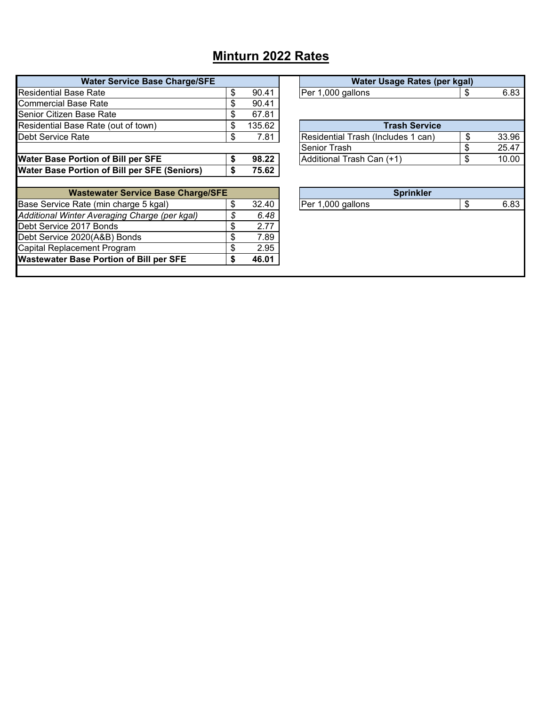# **Minturn 2022 Rates**

| Per 1,000 gallons<br><b>Trash Service</b><br>Residential Trash (Includes 1 can)<br>Senior Trash | S<br>\$ | 6.83  |
|-------------------------------------------------------------------------------------------------|---------|-------|
|                                                                                                 |         |       |
|                                                                                                 |         |       |
|                                                                                                 |         |       |
|                                                                                                 |         |       |
|                                                                                                 |         | 33.96 |
|                                                                                                 | \$      | 25.47 |
| Additional Trash Can (+1)                                                                       | \$      | 10.00 |
|                                                                                                 |         |       |
| <b>Sprinkler</b>                                                                                |         |       |
| Per 1,000 gallons                                                                               | \$      | 6.83  |
|                                                                                                 |         |       |
|                                                                                                 |         |       |
|                                                                                                 |         |       |
|                                                                                                 |         |       |
|                                                                                                 |         |       |
|                                                                                                 |         |       |

| Water Usage Rates (per kgal)       |             |
|------------------------------------|-------------|
| Per 1,000 gallons                  | \$<br>6.83  |
|                                    |             |
| <b>Trash Service</b>               |             |
| Residential Trash (Includes 1 can) | \$<br>33.96 |
| Senior Trash                       | \$<br>25.47 |
| Additional Trash Can (+1)          | \$<br>10.00 |
| <b>Sprinkler</b>                   |             |
| Per 1,000 gallons                  | \$<br>6.83  |
|                                    |             |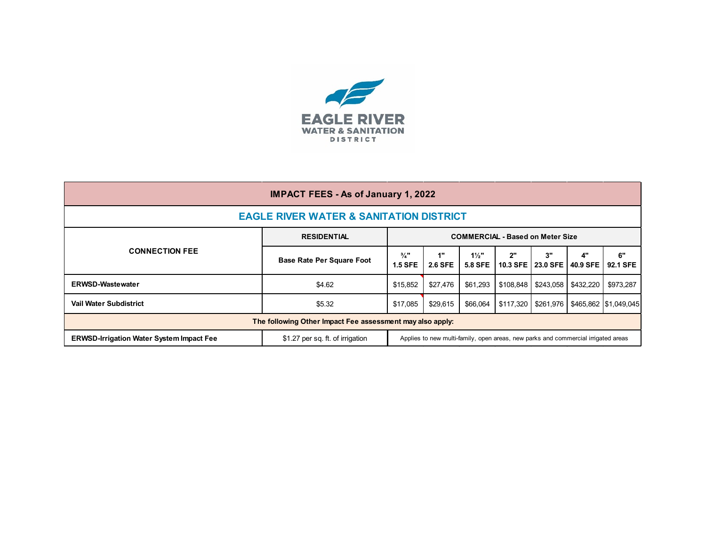

| <b>IMPACT FEES - As of January 1, 2022</b>                                                                                                                               |                                  |                                         |                      |                                    |           |                           |                  |                       |
|--------------------------------------------------------------------------------------------------------------------------------------------------------------------------|----------------------------------|-----------------------------------------|----------------------|------------------------------------|-----------|---------------------------|------------------|-----------------------|
| <b>EAGLE RIVER WATER &amp; SANITATION DISTRICT</b>                                                                                                                       |                                  |                                         |                      |                                    |           |                           |                  |                       |
|                                                                                                                                                                          | <b>RESIDENTIAL</b>               | <b>COMMERCIAL - Based on Meter Size</b> |                      |                                    |           |                           |                  |                       |
| <b>CONNECTION FEE</b>                                                                                                                                                    | <b>Base Rate Per Square Foot</b> | $\frac{3}{4}$ "<br><b>1.5 SFE</b>       | 1"<br><b>2.6 SFE</b> | $1\frac{1}{2}$ "<br><b>5.8 SFE</b> | 2"        | 3"<br>10.3 SFE 23.0 SFE I | 4"<br>40.9 SFE I | 6"<br>92.1 SFE        |
| <b>ERWSD-Wastewater</b>                                                                                                                                                  | \$4.62                           | \$15.852                                | \$27.476             | \$61.293                           | \$108,848 | \$243,058                 | \$432,220        | \$973,287             |
| <b>Vail Water Subdistrict</b>                                                                                                                                            | \$5.32                           | \$17,085                                | \$29,615             | \$66.064                           |           | \$117.320   \$261.976     |                  | \$465,862 \$1,049,045 |
| The following Other Impact Fee assessment may also apply:                                                                                                                |                                  |                                         |                      |                                    |           |                           |                  |                       |
| \$1.27 per sq. ft. of irrigation<br>Applies to new multi-family, open areas, new parks and commercial irrigated areas<br><b>ERWSD-Irrigation Water System Impact Fee</b> |                                  |                                         |                      |                                    |           |                           |                  |                       |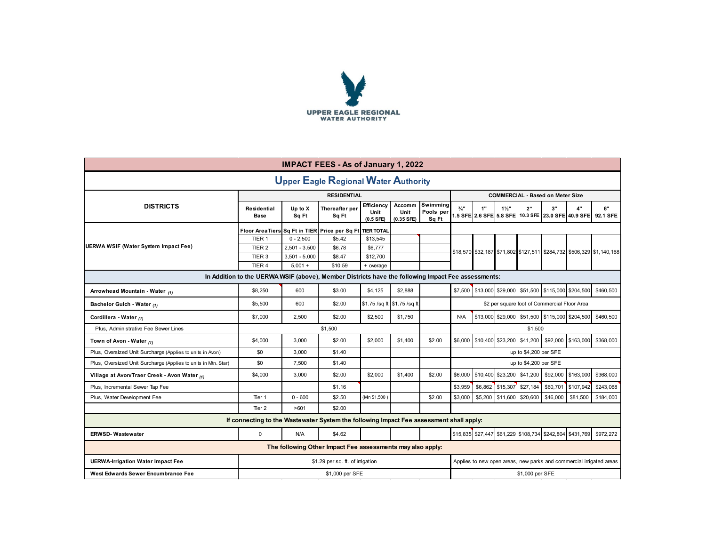

| <b>IMPACT FEES - As of January 1, 2022</b>                                                         |                                                                                         |                                    |                                                           |                                   |                              |                                |                                              |         |                  |                            |                                                |                                                          |                                                                      |
|----------------------------------------------------------------------------------------------------|-----------------------------------------------------------------------------------------|------------------------------------|-----------------------------------------------------------|-----------------------------------|------------------------------|--------------------------------|----------------------------------------------|---------|------------------|----------------------------|------------------------------------------------|----------------------------------------------------------|----------------------------------------------------------------------|
| <b>Upper Eagle Regional Water Authority</b>                                                        |                                                                                         |                                    |                                                           |                                   |                              |                                |                                              |         |                  |                            |                                                |                                                          |                                                                      |
|                                                                                                    |                                                                                         |                                    | <b>RESIDENTIAL</b>                                        |                                   |                              |                                |                                              |         |                  |                            | <b>COMMERCIAL - Based on Meter Size</b>        |                                                          |                                                                      |
| <b>DISTRICTS</b>                                                                                   | Residential<br><b>Base</b>                                                              | Up to X<br>Sq Ft                   | Thereafter per<br>Sq Ft                                   | Efficiency<br>Unit<br>$(0.5$ SFE) | Accomm<br>Unit<br>(0.35 SFE) | Swimming<br>Pools per<br>Sq Ft | $\frac{3}{4}$ "                              | 1"      | $1\frac{1}{2}$   | 2"                         | 3"                                             | 4"                                                       | 6"<br>1.5 SFE 2.6 SFE 5.8 SFE 10.3 SFE 23.0 SFE 40.9 SFE 92.1 SFE    |
|                                                                                                    |                                                                                         |                                    | Floor Area Tiers Sq Ft in TIER Price per Sq Ft TIER TOTAL |                                   |                              |                                |                                              |         |                  |                            |                                                |                                                          |                                                                      |
|                                                                                                    | TIER <sub>1</sub>                                                                       | $0 - 2,500$                        | \$5.42                                                    | \$13,545                          |                              |                                |                                              |         |                  |                            |                                                |                                                          |                                                                      |
| UERWA WSIF (Water System Impact Fee)                                                               | TIER <sub>2</sub>                                                                       | $2,501 - 3,500$                    | \$6.78                                                    | \$6,777                           |                              |                                |                                              |         |                  |                            |                                                |                                                          | \$18,570 \$32,187 \$71,802 \$127,511 \$284,732 \$506,329 \$1,140,168 |
|                                                                                                    | TIER <sub>3</sub>                                                                       | $3,501 - 5,000$                    | \$8.47                                                    | \$12,700                          |                              |                                |                                              |         |                  |                            |                                                |                                                          |                                                                      |
|                                                                                                    | TIER 4                                                                                  | $5.001 +$                          | \$10.59                                                   | + overage                         |                              |                                |                                              |         |                  |                            |                                                |                                                          |                                                                      |
| In Addition to the UERWA WSIF (above), Member Districts have the following Impact Fee assessments: |                                                                                         |                                    |                                                           |                                   |                              |                                |                                              |         |                  |                            |                                                |                                                          |                                                                      |
| Arrowhead Mountain - Water (1)                                                                     | \$8,250                                                                                 | 600                                | \$3.00                                                    | \$4,125                           | \$2,888                      |                                |                                              |         |                  |                            |                                                | \$7,500 \$13,000 \$29,000 \$51,500 \$115,000 \$204,500   | \$460,500                                                            |
| Bachelor Gulch - Water (1)                                                                         | \$5,500                                                                                 | 600                                | \$2.00                                                    |                                   | \$1.75 /sq ft \$1.75 /sq ft  |                                | \$2 per square foot of Commercial Floor Area |         |                  |                            |                                                |                                                          |                                                                      |
| Cordillera - Water (1)                                                                             | \$7,000                                                                                 | 2.500                              | \$2.00                                                    | \$2,500                           | \$1.750                      |                                | <b>N\A</b>                                   |         |                  |                            | \$13,000 \$29,000 \$51,500 \$115,000 \$204,500 |                                                          | \$460,500                                                            |
| Plus, Administrative Fee Sewer Lines                                                               |                                                                                         |                                    | \$1,500                                                   |                                   |                              |                                |                                              |         |                  | \$1,500                    |                                                |                                                          |                                                                      |
| Town of Avon - Water $_{(1)}$                                                                      | \$4,000                                                                                 | 3,000                              | \$2.00                                                    | \$2,000                           | \$1,400                      | \$2.00                         | \$6,000                                      |         |                  |                            | \$10,400 \$23,200 \$41,200 \$92,000            | \$163,000                                                | \$368,000                                                            |
| Plus, Oversized Unit Surcharge (Applies to units in Avon)                                          | \$0                                                                                     | 3,000                              | \$1.40                                                    |                                   |                              |                                |                                              |         |                  | up to \$4,200 per SFE      |                                                |                                                          |                                                                      |
| Plus, Oversized Unit Surcharge (Applies to units in Mtn. Star)                                     | \$0                                                                                     | 7.500                              | \$1.40                                                    |                                   |                              |                                |                                              |         |                  | up to \$4,200 per SFE      |                                                |                                                          |                                                                      |
| Village at Avon/Traer Creek - Avon Water (1)                                                       | \$4,000                                                                                 | 3,000                              | \$2.00                                                    | \$2,000                           | \$1,400                      | \$2.00                         | \$6,000                                      |         |                  | \$10,400 \$23,200 \$41,200 | \$92,000                                       | \$163,000                                                | \$368,000                                                            |
| Plus, Incremental Sewer Tap Fee                                                                    |                                                                                         |                                    | \$1.16                                                    |                                   |                              |                                | \$3,959                                      |         | \$6,862 \$15,307 | \$27,184                   | \$60,701                                       | \$107,942                                                | \$243,068                                                            |
| Plus, Water Development Fee                                                                        | Tier 1                                                                                  | $0 - 600$                          | \$2.50                                                    | (Min \$1,500                      |                              | \$2.00                         | \$3,000                                      | \$5,200 |                  | \$11,600 \$20,600          | \$46,000                                       | \$81,500                                                 | \$184,000                                                            |
|                                                                                                    | Tier 2                                                                                  | >601                               | \$2.00                                                    |                                   |                              |                                |                                              |         |                  |                            |                                                |                                                          |                                                                      |
|                                                                                                    | If connecting to the Wastewater System the following Impact Fee assessment shall apply: |                                    |                                                           |                                   |                              |                                |                                              |         |                  |                            |                                                |                                                          |                                                                      |
| <b>ERWSD-Wastewater</b>                                                                            | $\mathbf 0$                                                                             | N/A                                | \$4.62                                                    |                                   |                              |                                |                                              |         |                  |                            |                                                | \$15,835 \$27,447 \$61,229 \$108,734 \$242,804 \$431,769 | \$972,272                                                            |
| The following Other Impact Fee assessments may also apply:                                         |                                                                                         |                                    |                                                           |                                   |                              |                                |                                              |         |                  |                            |                                                |                                                          |                                                                      |
| <b>UERWA-Irrigation Water Impact Fee</b>                                                           |                                                                                         |                                    | \$1.29 per sq. ft. of irrigation                          |                                   |                              |                                |                                              |         |                  |                            |                                                |                                                          | Applies to new open areas, new parks and commercial irrigated areas  |
| West Edwards Sewer Encumbrance Fee                                                                 |                                                                                         | \$1,000 per SFE<br>\$1,000 per SFE |                                                           |                                   |                              |                                |                                              |         |                  |                            |                                                |                                                          |                                                                      |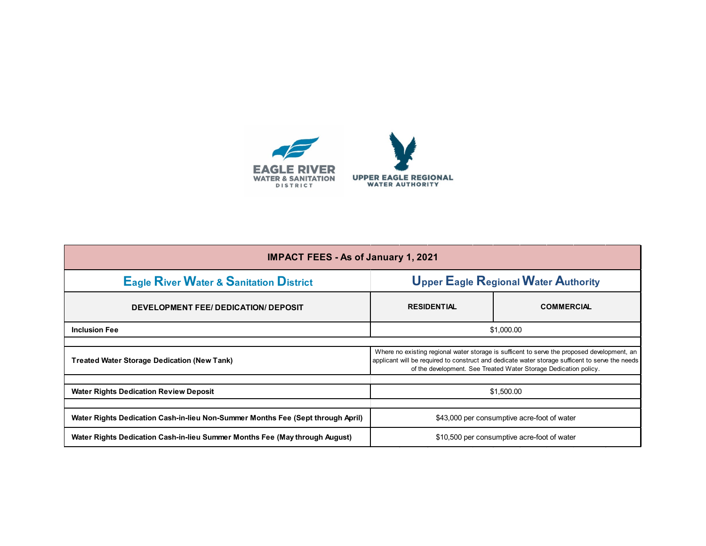

| <b>IMPACT FEES - As of January 1, 2021</b>                                      |                                                                                                                                                                                                                                                                    |                   |  |  |  |  |  |
|---------------------------------------------------------------------------------|--------------------------------------------------------------------------------------------------------------------------------------------------------------------------------------------------------------------------------------------------------------------|-------------------|--|--|--|--|--|
| <b>Eagle River Water &amp; Sanitation District</b>                              | <b>Upper Eagle Regional Water Authority</b>                                                                                                                                                                                                                        |                   |  |  |  |  |  |
| DEVELOPMENT FEE/DEDICATION/DEPOSIT                                              | <b>RESIDENTIAL</b>                                                                                                                                                                                                                                                 | <b>COMMERCIAL</b> |  |  |  |  |  |
| <b>Inclusion Fee</b>                                                            | \$1,000.00                                                                                                                                                                                                                                                         |                   |  |  |  |  |  |
|                                                                                 |                                                                                                                                                                                                                                                                    |                   |  |  |  |  |  |
| <b>Treated Water Storage Dedication (New Tank)</b>                              | Where no existing regional water storage is sufficent to serve the proposed development, an<br>applicant will be required to construct and dedicate water storage sufficent to serve the needs<br>of the development. See Treated Water Storage Dedication policy. |                   |  |  |  |  |  |
|                                                                                 |                                                                                                                                                                                                                                                                    |                   |  |  |  |  |  |
| <b>Water Rights Dedication Review Deposit</b>                                   | \$1,500.00                                                                                                                                                                                                                                                         |                   |  |  |  |  |  |
|                                                                                 |                                                                                                                                                                                                                                                                    |                   |  |  |  |  |  |
| Water Rights Dedication Cash-in-lieu Non-Summer Months Fee (Sept through April) | \$43,000 per consumptive acre-foot of water                                                                                                                                                                                                                        |                   |  |  |  |  |  |
| Water Rights Dedication Cash-in-lieu Summer Months Fee (May through August)     | \$10,500 per consumptive acre-foot of water                                                                                                                                                                                                                        |                   |  |  |  |  |  |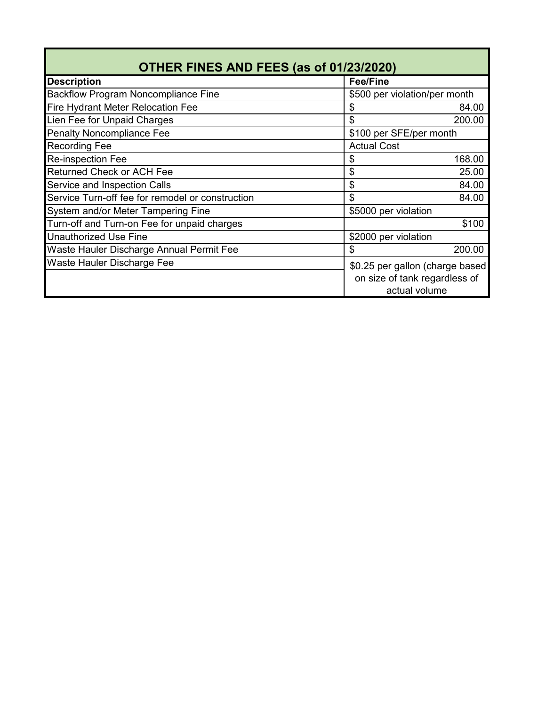| OTHER FINES AND FEES (as of 01/23/2020)          |                      |                                                                                   |  |  |  |  |
|--------------------------------------------------|----------------------|-----------------------------------------------------------------------------------|--|--|--|--|
| <b>Description</b>                               | <b>Fee/Fine</b>      |                                                                                   |  |  |  |  |
| <b>Backflow Program Noncompliance Fine</b>       |                      | \$500 per violation/per month                                                     |  |  |  |  |
| <b>Fire Hydrant Meter Relocation Fee</b>         | \$                   | 84.00                                                                             |  |  |  |  |
| Lien Fee for Unpaid Charges                      | \$                   | 200.00                                                                            |  |  |  |  |
| <b>Penalty Noncompliance Fee</b>                 |                      | \$100 per SFE/per month                                                           |  |  |  |  |
| <b>Recording Fee</b>                             | <b>Actual Cost</b>   |                                                                                   |  |  |  |  |
| <b>Re-inspection Fee</b>                         | \$                   | 168.00                                                                            |  |  |  |  |
| <b>Returned Check or ACH Fee</b>                 | \$                   | 25.00                                                                             |  |  |  |  |
| <b>Service and Inspection Calls</b>              | \$                   | 84.00                                                                             |  |  |  |  |
| Service Turn-off fee for remodel or construction | \$                   | 84.00                                                                             |  |  |  |  |
| System and/or Meter Tampering Fine               | \$5000 per violation |                                                                                   |  |  |  |  |
| Turn-off and Turn-on Fee for unpaid charges      |                      | \$100                                                                             |  |  |  |  |
| <b>Unauthorized Use Fine</b>                     | \$2000 per violation |                                                                                   |  |  |  |  |
| Waste Hauler Discharge Annual Permit Fee         | \$                   | 200.00                                                                            |  |  |  |  |
| Waste Hauler Discharge Fee                       |                      | \$0.25 per gallon (charge based<br>on size of tank regardless of<br>actual volume |  |  |  |  |